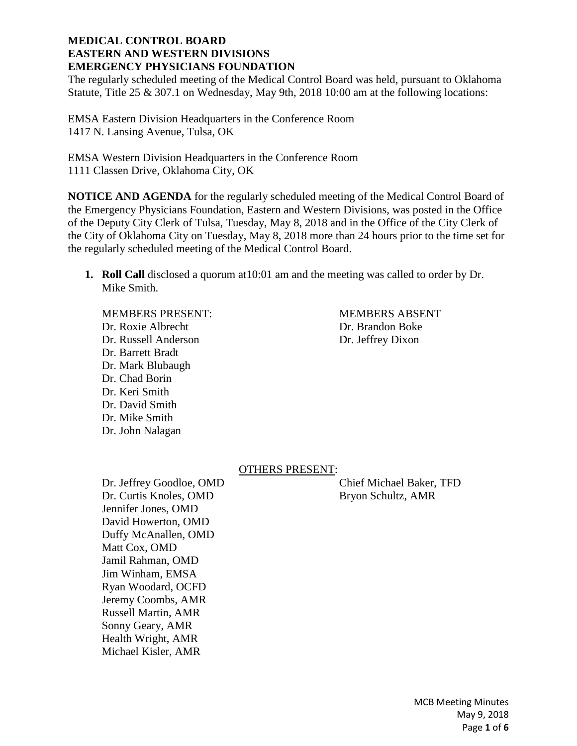The regularly scheduled meeting of the Medical Control Board was held, pursuant to Oklahoma Statute, Title 25 & 307.1 on Wednesday, May 9th, 2018 10:00 am at the following locations:

EMSA Eastern Division Headquarters in the Conference Room 1417 N. Lansing Avenue, Tulsa, OK

EMSA Western Division Headquarters in the Conference Room 1111 Classen Drive, Oklahoma City, OK

**NOTICE AND AGENDA** for the regularly scheduled meeting of the Medical Control Board of the Emergency Physicians Foundation, Eastern and Western Divisions, was posted in the Office of the Deputy City Clerk of Tulsa, Tuesday, May 8, 2018 and in the Office of the City Clerk of the City of Oklahoma City on Tuesday, May 8, 2018 more than 24 hours prior to the time set for the regularly scheduled meeting of the Medical Control Board.

**1. Roll Call** disclosed a quorum at10:01 am and the meeting was called to order by Dr. Mike Smith.

#### MEMBERS PRESENT: MEMBERS ABSENT

Dr. Roxie Albrecht Dr. Brandon Boke Dr. Russell Anderson Dr. Jeffrey Dixon Dr. Barrett Bradt Dr. Mark Blubaugh Dr. Chad Borin Dr. Keri Smith Dr. David Smith Dr. Mike Smith Dr. John Nalagan

### OTHERS PRESENT:

Dr. Jeffrey Goodloe, OMD Chief Michael Baker, TFD Dr. Curtis Knoles, OMD Bryon Schultz, AMR Jennifer Jones, OMD David Howerton, OMD Duffy McAnallen, OMD Matt Cox, OMD Jamil Rahman, OMD Jim Winham, EMSA Ryan Woodard, OCFD Jeremy Coombs, AMR Russell Martin, AMR Sonny Geary, AMR Health Wright, AMR Michael Kisler, AMR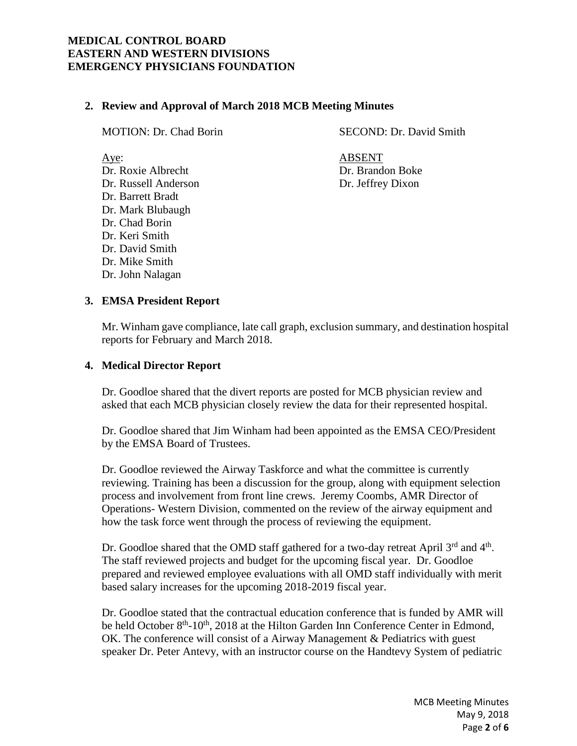# **2. Review and Approval of March 2018 MCB Meeting Minutes**

Dr. Barrett Bradt Dr. Mark Blubaugh Dr. Chad Borin

Dr. Keri Smith Dr. David Smith Dr. Mike Smith Dr. John Nalagan

MOTION: Dr. Chad Borin SECOND: Dr. David Smith

Aye: ABSENT Dr. Roxie Albrecht Dr. Brandon Boke Dr. Russell Anderson Dr. Jeffrey Dixon

# **3. EMSA President Report**

Mr. Winham gave compliance, late call graph, exclusion summary, and destination hospital reports for February and March 2018.

## **4. Medical Director Report**

Dr. Goodloe shared that the divert reports are posted for MCB physician review and asked that each MCB physician closely review the data for their represented hospital.

Dr. Goodloe shared that Jim Winham had been appointed as the EMSA CEO/President by the EMSA Board of Trustees.

Dr. Goodloe reviewed the Airway Taskforce and what the committee is currently reviewing. Training has been a discussion for the group, along with equipment selection process and involvement from front line crews. Jeremy Coombs, AMR Director of Operations- Western Division, commented on the review of the airway equipment and how the task force went through the process of reviewing the equipment.

Dr. Goodloe shared that the OMD staff gathered for a two-day retreat April 3<sup>rd</sup> and 4<sup>th</sup>. The staff reviewed projects and budget for the upcoming fiscal year. Dr. Goodloe prepared and reviewed employee evaluations with all OMD staff individually with merit based salary increases for the upcoming 2018-2019 fiscal year.

Dr. Goodloe stated that the contractual education conference that is funded by AMR will be held October 8<sup>th</sup>-10<sup>th</sup>, 2018 at the Hilton Garden Inn Conference Center in Edmond, OK. The conference will consist of a Airway Management & Pediatrics with guest speaker Dr. Peter Antevy, with an instructor course on the Handtevy System of pediatric

> MCB Meeting Minutes May 9, 2018 Page **2** of **6**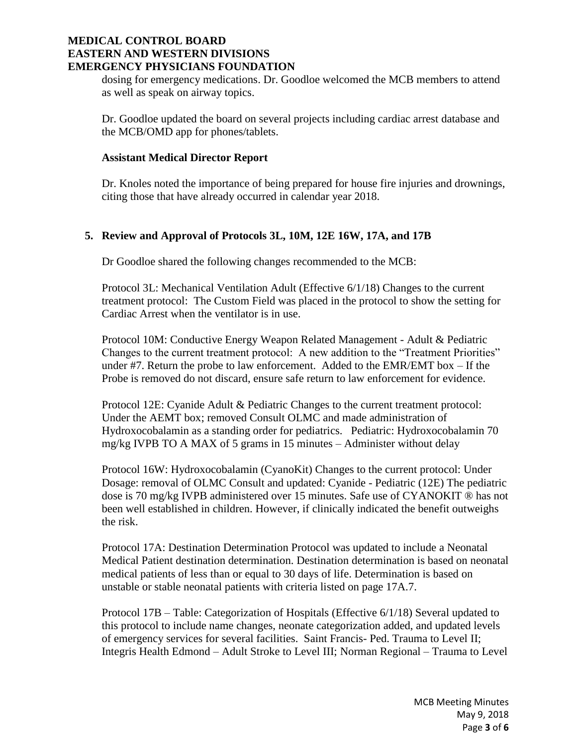dosing for emergency medications. Dr. Goodloe welcomed the MCB members to attend as well as speak on airway topics.

Dr. Goodloe updated the board on several projects including cardiac arrest database and the MCB/OMD app for phones/tablets.

## **Assistant Medical Director Report**

Dr. Knoles noted the importance of being prepared for house fire injuries and drownings, citing those that have already occurred in calendar year 2018.

# **5. Review and Approval of Protocols 3L, 10M, 12E 16W, 17A, and 17B**

Dr Goodloe shared the following changes recommended to the MCB:

Protocol 3L: Mechanical Ventilation Adult (Effective 6/1/18) Changes to the current treatment protocol: The Custom Field was placed in the protocol to show the setting for Cardiac Arrest when the ventilator is in use.

Protocol 10M: Conductive Energy Weapon Related Management - Adult & Pediatric Changes to the current treatment protocol: A new addition to the "Treatment Priorities" under #7. Return the probe to law enforcement. Added to the EMR/EMT box – If the Probe is removed do not discard, ensure safe return to law enforcement for evidence.

Protocol 12E: Cyanide Adult & Pediatric Changes to the current treatment protocol: Under the AEMT box; removed Consult OLMC and made administration of Hydroxocobalamin as a standing order for pediatrics. Pediatric: Hydroxocobalamin 70 mg/kg IVPB TO A MAX of 5 grams in 15 minutes – Administer without delay

Protocol 16W: Hydroxocobalamin (CyanoKit) Changes to the current protocol: Under Dosage: removal of OLMC Consult and updated: Cyanide - Pediatric (12E) The pediatric dose is 70 mg/kg IVPB administered over 15 minutes. Safe use of CYANOKIT ® has not been well established in children. However, if clinically indicated the benefit outweighs the risk.

Protocol 17A: Destination Determination Protocol was updated to include a Neonatal Medical Patient destination determination. Destination determination is based on neonatal medical patients of less than or equal to 30 days of life. Determination is based on unstable or stable neonatal patients with criteria listed on page 17A.7.

Protocol 17B – Table: Categorization of Hospitals (Effective 6/1/18) Several updated to this protocol to include name changes, neonate categorization added, and updated levels of emergency services for several facilities. Saint Francis- Ped. Trauma to Level II; Integris Health Edmond – Adult Stroke to Level III; Norman Regional – Trauma to Level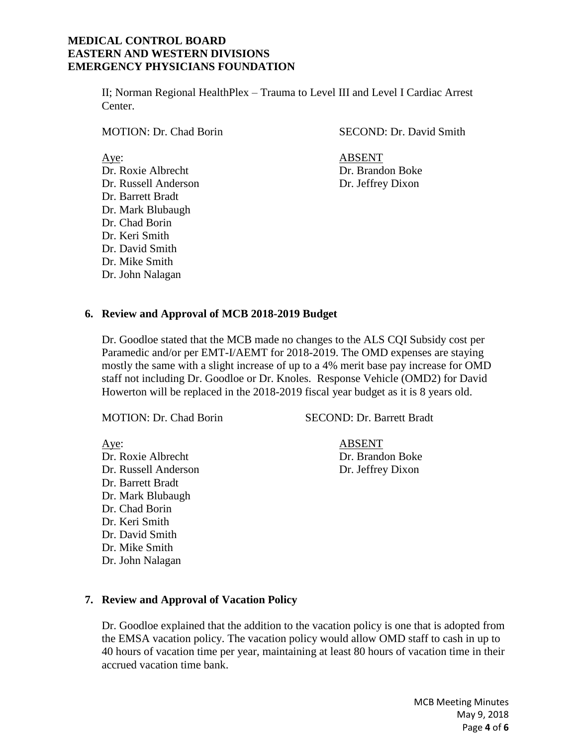II; Norman Regional HealthPlex – Trauma to Level III and Level I Cardiac Arrest Center.

Dr. Roxie Albrecht Dr. Brandon Boke Dr. Russell Anderson Dr. Jeffrey Dixon Dr. Barrett Bradt Dr. Mark Blubaugh Dr. Chad Borin Dr. Keri Smith Dr. David Smith Dr. Mike Smith Dr. John Nalagan

MOTION: Dr. Chad Borin SECOND: Dr. David Smith

Aye: ABSENT

## **6. Review and Approval of MCB 2018-2019 Budget**

Dr. Goodloe stated that the MCB made no changes to the ALS CQI Subsidy cost per Paramedic and/or per EMT-I/AEMT for 2018-2019. The OMD expenses are staying mostly the same with a slight increase of up to a 4% merit base pay increase for OMD staff not including Dr. Goodloe or Dr. Knoles. Response Vehicle (OMD2) for David Howerton will be replaced in the 2018-2019 fiscal year budget as it is 8 years old.

MOTION: Dr. Chad Borin SECOND: Dr. Barrett Bradt

Aye: ABSENT

Dr. Roxie Albrecht Dr. Brandon Boke Dr. Russell Anderson Dr. Jeffrey Dixon Dr. Barrett Bradt Dr. Mark Blubaugh Dr. Chad Borin Dr. Keri Smith Dr. David Smith Dr. Mike Smith Dr. John Nalagan

### **7. Review and Approval of Vacation Policy**

Dr. Goodloe explained that the addition to the vacation policy is one that is adopted from the EMSA vacation policy. The vacation policy would allow OMD staff to cash in up to 40 hours of vacation time per year, maintaining at least 80 hours of vacation time in their accrued vacation time bank.

> MCB Meeting Minutes May 9, 2018 Page **4** of **6**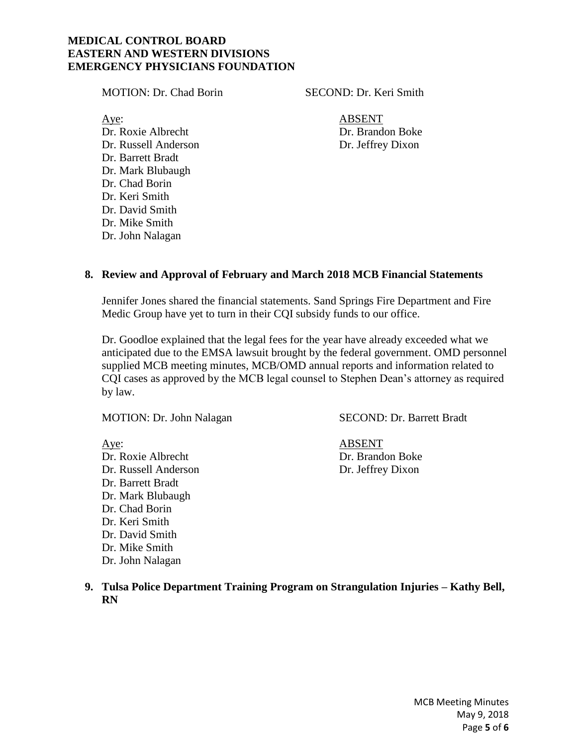MOTION: Dr. Chad Borin SECOND: Dr. Keri Smith

Aye: ABSENT Dr. Roxie Albrecht Dr. Brandon Boke Dr. Russell Anderson Dr. Jeffrey Dixon Dr. Barrett Bradt Dr. Mark Blubaugh Dr. Chad Borin Dr. Keri Smith Dr. David Smith Dr. Mike Smith Dr. John Nalagan

# **8. Review and Approval of February and March 2018 MCB Financial Statements**

Jennifer Jones shared the financial statements. Sand Springs Fire Department and Fire Medic Group have yet to turn in their CQI subsidy funds to our office.

Dr. Goodloe explained that the legal fees for the year have already exceeded what we anticipated due to the EMSA lawsuit brought by the federal government. OMD personnel supplied MCB meeting minutes, MCB/OMD annual reports and information related to CQI cases as approved by the MCB legal counsel to Stephen Dean's attorney as required by law.

Aye: ABSENT Dr. Roxie Albrecht Dr. Brandon Boke Dr. Russell Anderson Dr. Jeffrey Dixon Dr. Barrett Bradt Dr. Mark Blubaugh Dr. Chad Borin Dr. Keri Smith Dr. David Smith Dr. Mike Smith Dr. John Nalagan

MOTION: Dr. John Nalagan SECOND: Dr. Barrett Bradt

**9. Tulsa Police Department Training Program on Strangulation Injuries – Kathy Bell, RN**